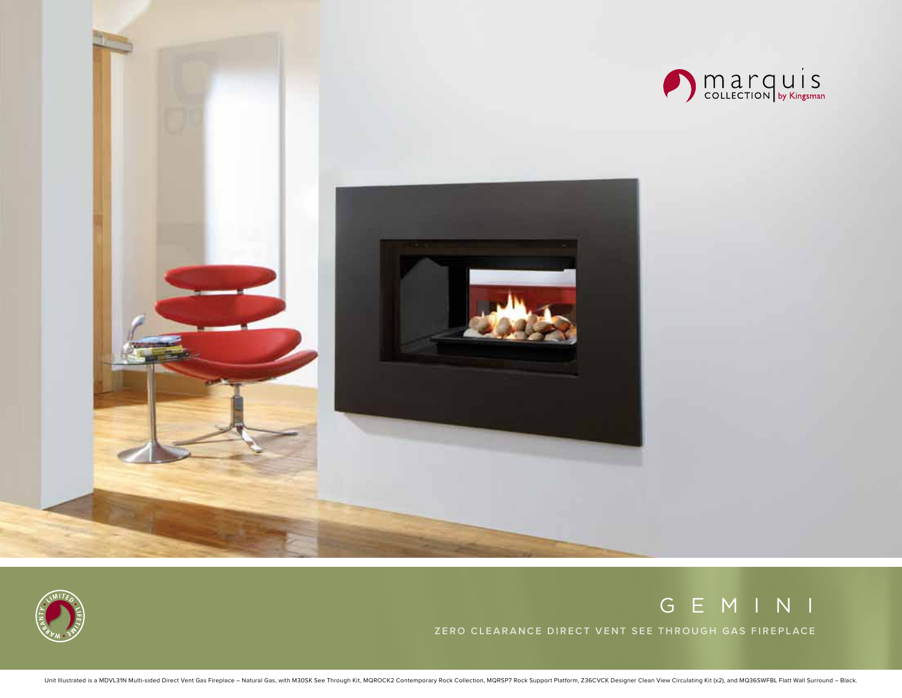





# g e m i n i

**Zero Clearan ce Direct Vent See Through G as Fireplace**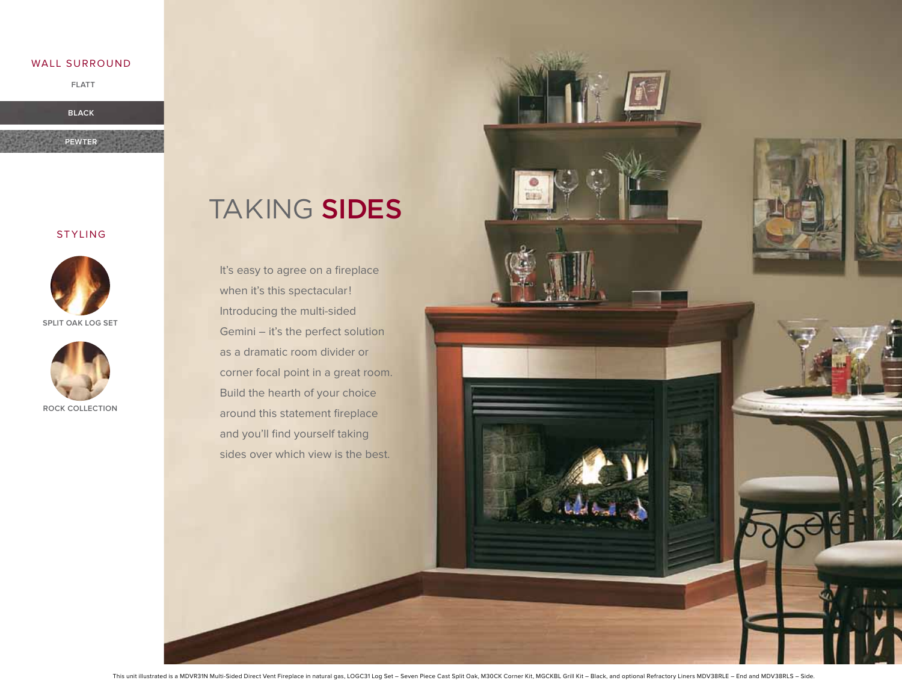#### wall surround

**flatt**

**black**

**pewter**





**split oak log set**



Taking sides

It's easy to agree on a fireplace when it's this spectacular! Introducing the multi-sided Gemini – it's the perfect solution as a dramatic room divider or corner focal point in a great room. Build the hearth of your choice around this statement fireplace and you'll find yourself taking sides over which view is the best.

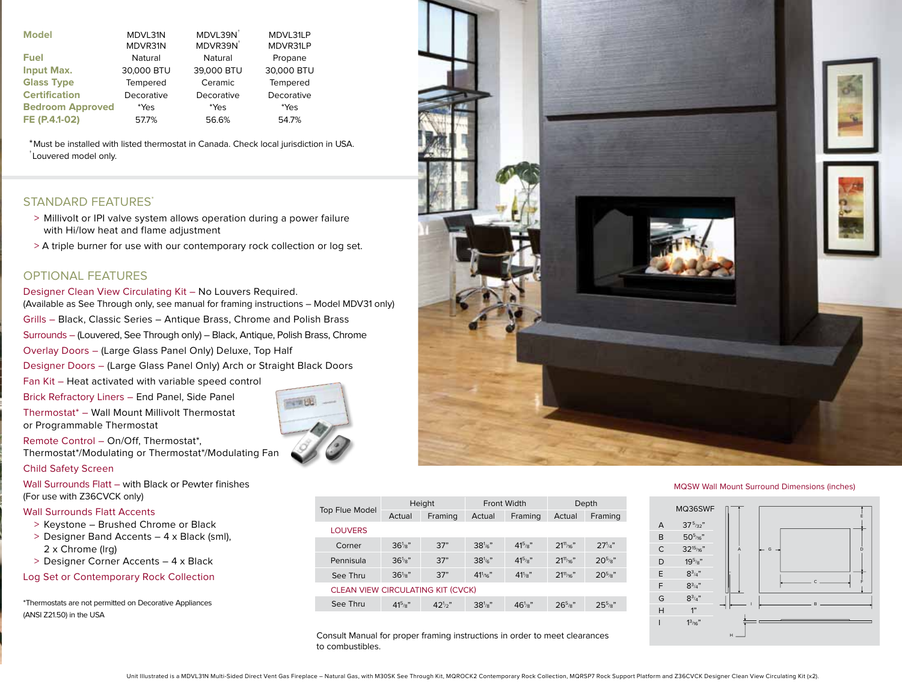| <b>Model</b>            | MDVL31N<br>MDVR31N | MDVL39N <sup>+</sup><br>MDVR39N <sup>+</sup> | MDVL31LP<br>MDVR31LP |
|-------------------------|--------------------|----------------------------------------------|----------------------|
| <b>Fuel</b>             | Natural            | Natural                                      | Propane              |
| <b>Input Max.</b>       | 30,000 BTU         | 39,000 BTU                                   | 30,000 BTU           |
| <b>Glass Type</b>       | Tempered           | Ceramic                                      | Tempered             |
| <b>Certification</b>    | Decorative         | Decorative                                   | Decorative           |
| <b>Bedroom Approved</b> | *Yes               | *Yes                                         | *Yes                 |
| FE (P.4.1-02)           | 57.7%              | 56.6%                                        | 54.7%                |

\*Must be installed with listed thermostat in Canada. Check local jurisdiction in USA. † Louvered model only.

## Standard Features\*

- > Millivolt or IPI valve system allows operation during a power failure with Hi/low heat and flame adjustment
- > A triple burner for use with our contemporary rock collection or log set.

## Optional Features

#### Designer Clean View Circulating Kit – No Louvers Required.

(Available as See Through only, see manual for framing instructions – Model MDV31 only)

Grills – Black, Classic Series – Antique Brass, Chrome and Polish Brass

Surrounds – (Louvered, See Through only) – Black, Antique, Polish Brass, Chrome

Overlay Doors – (Large Glass Panel Only) Deluxe, Top Half

Designer Doors – (Large Glass Panel Only) Arch or Straight Black Doors

Fan Kit – Heat activated with variable speed control

Brick Refractory Liners – End Panel, Side Panel Thermostat\* – Wall Mount Millivolt Thermostat

Remote Control – On/Off, Thermostat\*, Thermostat\*/Modulating or Thermostat\*/Modulating Fan

#### Child Safety Screen

Wall Surrounds Flatt – with Black or Pewter finishes (For use with Z36CVCK only)

### Wall Surrounds Flatt Accents

or Programmable Thermostat

- > Keystone Brushed Chrome or Black
- > Designer Band Accents 4 x Black (sml), 2 x Chrome (lrg)
- > Designer Corner Accents 4 x Black
- Log Set or Contemporary Rock Collection

\*Thermostats are not permitted on Decorative Appliances (ANSI Z21.50) in the USA



Consult Manual for proper framing instructions in order to meet clearances to combustibles.



#### MQSW Wall Mount Surround Dimensions (inches)